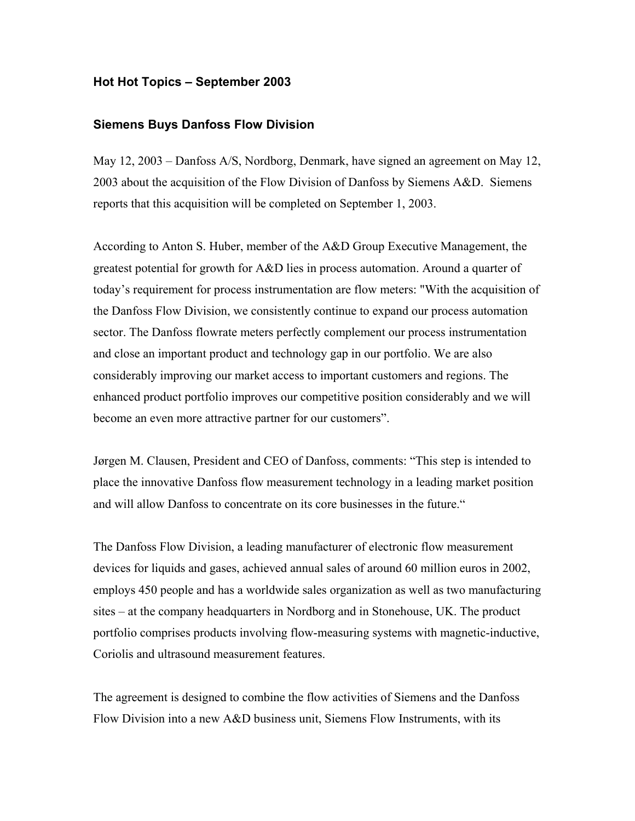## **Hot Hot Topics – September 2003**

## **Siemens Buys Danfoss Flow Division**

May 12, 2003 – Danfoss A/S, Nordborg, Denmark, have signed an agreement on May 12, 2003 about the acquisition of the Flow Division of Danfoss by Siemens A&D. Siemens reports that this acquisition will be completed on September 1, 2003.

According to Anton S. Huber, member of the A&D Group Executive Management, the greatest potential for growth for A&D lies in process automation. Around a quarter of today's requirement for process instrumentation are flow meters: "With the acquisition of the Danfoss Flow Division, we consistently continue to expand our process automation sector. The Danfoss flowrate meters perfectly complement our process instrumentation and close an important product and technology gap in our portfolio. We are also considerably improving our market access to important customers and regions. The enhanced product portfolio improves our competitive position considerably and we will become an even more attractive partner for our customers".

Jørgen M. Clausen, President and CEO of Danfoss, comments: "This step is intended to place the innovative Danfoss flow measurement technology in a leading market position and will allow Danfoss to concentrate on its core businesses in the future."

The Danfoss Flow Division, a leading manufacturer of electronic flow measurement devices for liquids and gases, achieved annual sales of around 60 million euros in 2002, employs 450 people and has a worldwide sales organization as well as two manufacturing sites – at the company headquarters in Nordborg and in Stonehouse, UK. The product portfolio comprises products involving flow-measuring systems with magnetic-inductive, Coriolis and ultrasound measurement features.

The agreement is designed to combine the flow activities of Siemens and the Danfoss Flow Division into a new A&D business unit, Siemens Flow Instruments, with its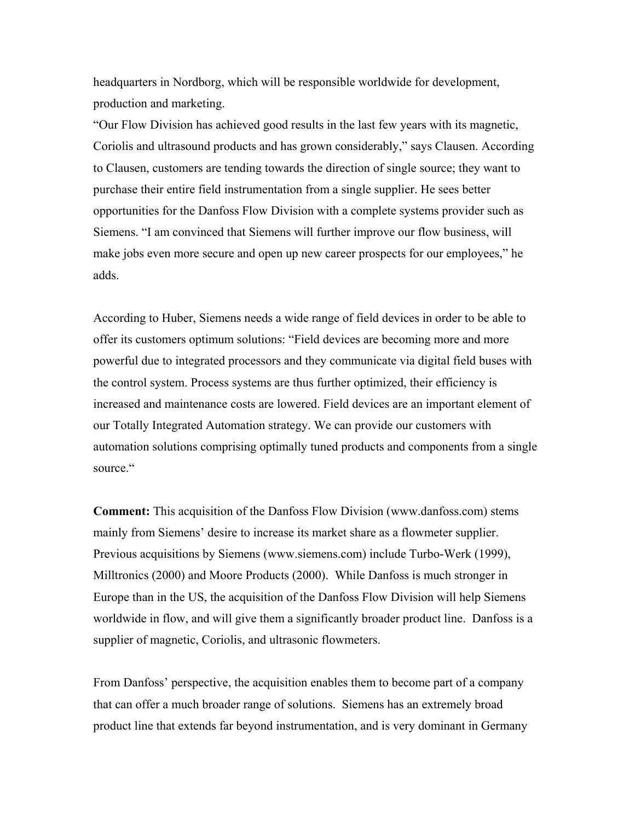headquarters in Nordborg, which will be responsible worldwide for development, production and marketing.

"Our Flow Division has achieved good results in the last few years with its magnetic, Coriolis and ultrasound products and has grown considerably," says Clausen. According to Clausen, customers are tending towards the direction of single source; they want to purchase their entire field instrumentation from a single supplier. He sees better opportunities for the Danfoss Flow Division with a complete systems provider such as Siemens. "I am convinced that Siemens will further improve our flow business, will make jobs even more secure and open up new career prospects for our employees," he adds.

According to Huber, Siemens needs a wide range of field devices in order to be able to offer its customers optimum solutions: "Field devices are becoming more and more powerful due to integrated processors and they communicate via digital field buses with the control system. Process systems are thus further optimized, their efficiency is increased and maintenance costs are lowered. Field devices are an important element of our Totally Integrated Automation strategy. We can provide our customers with automation solutions comprising optimally tuned products and components from a single source."

**Comment:** This acquisition of the Danfoss Flow Division (www.danfoss.com) stems mainly from Siemens' desire to increase its market share as a flowmeter supplier. Previous acquisitions by Siemens (www.siemens.com) include Turbo-Werk (1999), Milltronics (2000) and Moore Products (2000). While Danfoss is much stronger in Europe than in the US, the acquisition of the Danfoss Flow Division will help Siemens worldwide in flow, and will give them a significantly broader product line. Danfoss is a supplier of magnetic, Coriolis, and ultrasonic flowmeters.

From Danfoss' perspective, the acquisition enables them to become part of a company that can offer a much broader range of solutions. Siemens has an extremely broad product line that extends far beyond instrumentation, and is very dominant in Germany